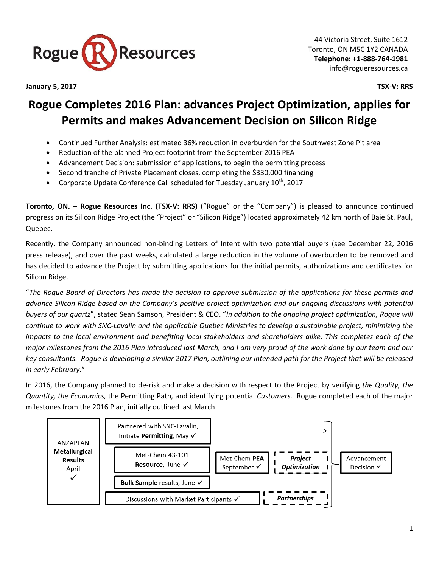

**January 5, 2017 TSX-V: RRS**

# **Rogue Completes 2016 Plan: advances Project Optimization, applies for Permits and makes Advancement Decision on Silicon Ridge**

- Continued Further Analysis: estimated 36% reduction in overburden for the Southwest Zone Pit area
- Reduction of the planned Project footprint from the September 2016 PEA
- Advancement Decision: submission of applications, to begin the permitting process
- Second tranche of Private Placement closes, completing the \$330,000 financing
- Corporate Update Conference Call scheduled for Tuesday January 10<sup>th</sup>, 2017

**Toronto, ON. – Rogue Resources Inc. (TSX-V: RRS)** ("Rogue" or the "Company") is pleased to announce continued progress on its Silicon Ridge Project (the "Project" or "Silicon Ridge") located approximately 42 km north of Baie St. Paul, Quebec.

Recently, the Company announced non-binding Letters of Intent with two potential buyers (see December 22, 2016 press release), and over the past weeks, calculated a large reduction in the volume of overburden to be removed and has decided to advance the Project by submitting applications for the initial permits, authorizations and certificates for Silicon Ridge.

"*The Rogue Board of Directors has made the decision to approve submission of the applications for these permits and advance Silicon Ridge based on the Company's positive project optimization and our ongoing discussions with potential buyers of our quartz*", stated Sean Samson, President & CEO. "*In addition to the ongoing project optimization, Rogue will continue to work with SNC-Lavalin and the applicable Quebec Ministries to develop a sustainable project, minimizing the impacts to the local environment and benefiting local stakeholders and shareholders alike. This completes each of the major milestones from the 2016 Plan introduced last March, and I am very proud of the work done by our team and our key consultants. Rogue is developing a similar 2017 Plan, outlining our intended path for the Project that will be released in early February.*"

In 2016, the Company planned to de-risk and make a decision with respect to the Project by verifying *the Quality, the Quantity, the Economics,* the Permitting Path*,* and identifying potential *Customers.* Rogue completed each of the major milestones from the 2016 Plan, initially outlined last March.

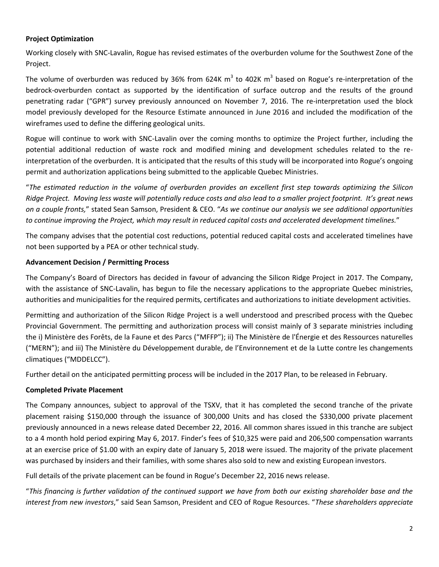# **Project Optimization**

Working closely with SNC-Lavalin, Rogue has revised estimates of the overburden volume for the Southwest Zone of the Project.

The volume of overburden was reduced by 36% from 624K m<sup>3</sup> to 402K m<sup>3</sup> based on Rogue's re-interpretation of the bedrock-overburden contact as supported by the identification of surface outcrop and the results of the ground penetrating radar ("GPR") survey previously announced on November 7, 2016. The re-interpretation used the block model previously developed for the Resource Estimate announced in June 2016 and included the modification of the wireframes used to define the differing geological units.

Rogue will continue to work with SNC-Lavalin over the coming months to optimize the Project further, including the potential additional reduction of waste rock and modified mining and development schedules related to the reinterpretation of the overburden. It is anticipated that the results of this study will be incorporated into Rogue's ongoing permit and authorization applications being submitted to the applicable Quebec Ministries.

"*The estimated reduction in the volume of overburden provides an excellent first step towards optimizing the Silicon Ridge Project. Moving less waste will potentially reduce costs and also lead to a smaller project footprint. It's great news on a couple fronts,*" stated Sean Samson, President & CEO. "*As we continue our analysis we see additional opportunities to continue improving the Project, which may result in reduced capital costs and accelerated development timelines.*"

The company advises that the potential cost reductions, potential reduced capital costs and accelerated timelines have not been supported by a PEA or other technical study.

## **Advancement Decision / Permitting Process**

The Company's Board of Directors has decided in favour of advancing the Silicon Ridge Project in 2017. The Company, with the assistance of SNC-Lavalin, has begun to file the necessary applications to the appropriate Quebec ministries, authorities and municipalities for the required permits, certificates and authorizations to initiate development activities.

Permitting and authorization of the Silicon Ridge Project is a well understood and prescribed process with the Quebec Provincial Government. The permitting and authorization process will consist mainly of 3 separate ministries including the i) [Ministère des Forêts, de la Faune et des Parcs](http://mffp.gouv.qc.ca/english/home.jsp) ("MFFP"); ii) The [Ministère de l'Énergie et des Ressources naturelles](https://mern.gouv.qc.ca/en/) ("MERN"); and iii) The Ministère du Développement durable, de l'Environnement et de la Lutte contre les changements climatiques ("MDDELCC").

Further detail on the anticipated permitting process will be included in the 2017 Plan, to be released in February.

# **Completed Private Placement**

The Company announces, subject to approval of the TSXV, that it has completed the second tranche of the private placement raising \$150,000 through the issuance of 300,000 Units and has closed the \$330,000 private placement previously announced in a news release dated December 22, 2016. All common shares issued in this tranche are subject to a 4 month hold period expiring May 6, 2017. Finder's fees of \$10,325 were paid and 206,500 compensation warrants at an exercise price of \$1.00 with an expiry date of January 5, 2018 were issued. The majority of the private placement was purchased by insiders and their families, with some shares also sold to new and existing European investors.

Full details of the private placement can be found in Rogue's December 22, 2016 news release.

"*This financing is further validation of the continued support we have from both our existing shareholder base and the interest from new investors*," said Sean Samson, President and CEO of Rogue Resources. "*These shareholders appreciate*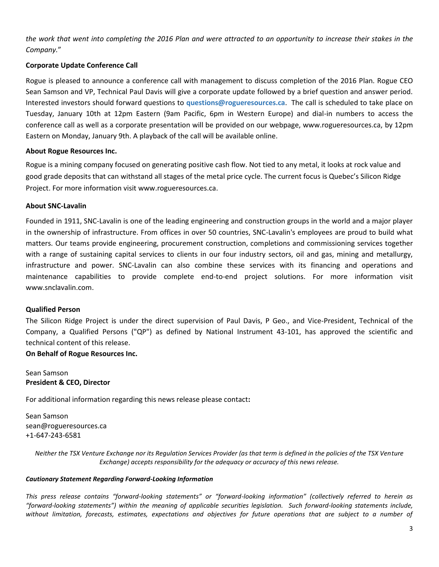*the work that went into completing the 2016 Plan and were attracted to an opportunity to increase their stakes in the Company.*"

## **Corporate Update Conference Call**

Rogue is pleased to announce a conference call with management to discuss completion of the 2016 Plan. Rogue CEO Sean Samson and VP, Technical Paul Davis will give a corporate update followed by a brief question and answer period. Interested investors should forward questions to **questions@rogueresources.ca**. The call is scheduled to take place on Tuesday, January 10th at 12pm Eastern (9am Pacific, 6pm in Western Europe) and dial-in numbers to access the conference call as well as a corporate presentation will be provided on our webpage, www.rogueresources.ca, by 12pm Eastern on Monday, January 9th. A playback of the call will be available online.

## **About Rogue Resources Inc.**

Rogue is a mining company focused on generating positive cash flow. Not tied to any metal, it looks at rock value and good grade deposits that can withstand all stages of the metal price cycle. The current focus is Quebec's Silicon Ridge Project. For more information visit [www.rogueresources.ca.](http://www.rogueresources.ca/)

#### **About SNC-Lavalin**

Founded in 1911, SNC-Lavalin is one of the leading engineering and construction groups in the world and a major player in the ownership of infrastructure. From offices in over 50 countries, SNC-Lavalin's employees are proud to build what matters. Our teams provide engineering, procurement construction, completions and commissioning services together with a range of sustaining capital services to clients in our four industry sectors, oil and gas, mining and metallurgy, infrastructure and power. SNC-Lavalin can also combine these services with its financing and operations and maintenance capabilities to provide complete end-to-end project solutions. For more information visit www.snclavalin.com.

#### **Qualified Person**

The Silicon Ridge Project is under the direct supervision of Paul Davis, P Geo., and Vice-President, Technical of the Company, a Qualified Persons ("QP") as defined by National Instrument 43-101, has approved the scientific and technical content of this release.

## **On Behalf of Rogue Resources Inc.**

Sean Samson **President & CEO, Director**

For additional information regarding this news release please contact**:**

Sean Samson sean@rogueresources.ca +1-647-243-6581

> *Neither the TSX Venture Exchange nor its Regulation Services Provider (as that term is defined in the policies of the TSX Venture Exchange) accepts responsibility for the adequacy or accuracy of this news release.*

#### *Cautionary Statement Regarding Forward-Looking Information*

*This press release contains "forward-looking statements" or "forward-looking information" (collectively referred to herein as "forward-looking statements") within the meaning of applicable securities legislation. Such forward-looking statements include, without limitation, forecasts, estimates, expectations and objectives for future operations that are subject to a number of*